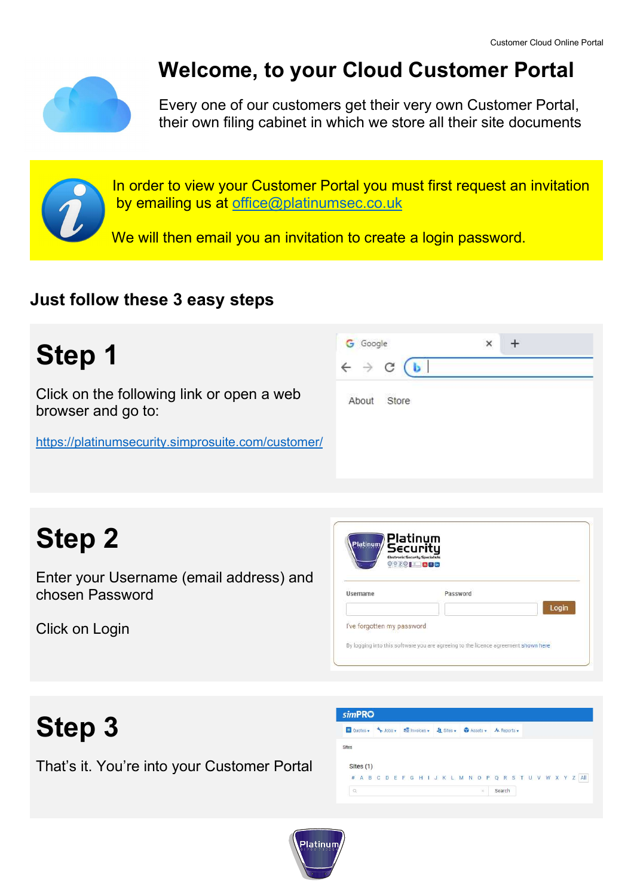

## Welcome, to your Cloud Customer Portal

Every one of our customers get their very own Customer Portal, their own filing cabinet in which we store all their site documents

In order to view your Customer Portal you must first request an invitation by emailing us at office@platinumsec.co.uk

We will then email you an invitation to create a login password.

### Just follow these 3 easy steps

| Step 1                                                          | <b>G</b> Google<br>$\leftarrow$ $\rightarrow$ | × |
|-----------------------------------------------------------------|-----------------------------------------------|---|
| Click on the following link or open a web<br>browser and go to: | Store<br>About                                |   |
| https://platinumsecurity.simprosuite.com/customer/              |                                               |   |

# Step 2

Enter your Username (email address) and chosen Password

Click on Login

| Username | Password |       |
|----------|----------|-------|
|          |          | Login |

## Step 3

That's it. You're into your Customer Portal

|           | EQuotes v \Jobs v de Invoices v 4 Sites v 1 Assets v 4 Reports v |  |  |  |
|-----------|------------------------------------------------------------------|--|--|--|
|           |                                                                  |  |  |  |
| Sites     |                                                                  |  |  |  |
|           |                                                                  |  |  |  |
| Sites (1) |                                                                  |  |  |  |

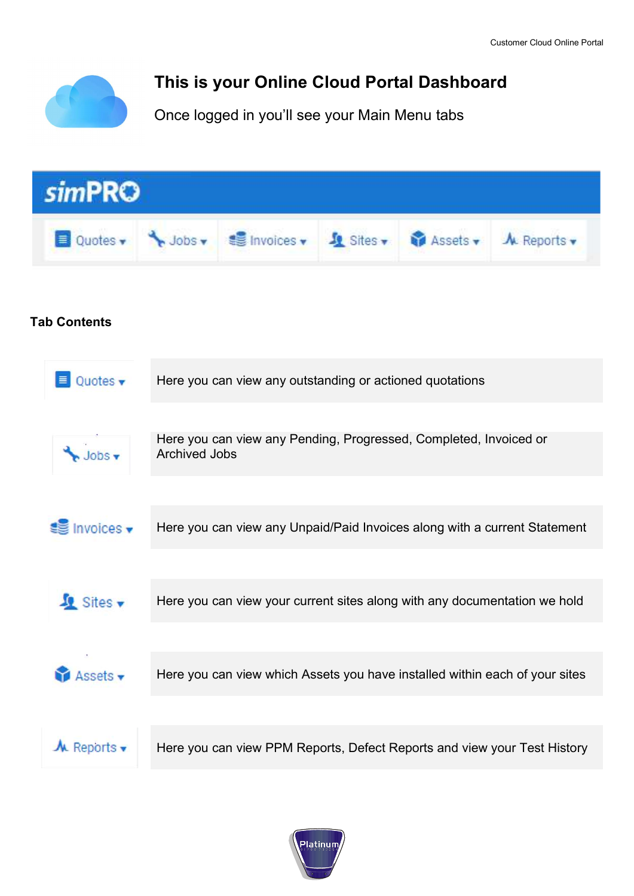

### This is your Online Cloud Portal Dashboard

Once logged in you'll see your Main Menu tabs



#### Tab Contents

| Quotes $\mathbf{\mathbf{v}}$           | Here you can view any outstanding or actioned quotations                                  |
|----------------------------------------|-------------------------------------------------------------------------------------------|
|                                        |                                                                                           |
| $\bigvee$ Jobs $\blacktriangledown$    | Here you can view any Pending, Progressed, Completed, Invoiced or<br><b>Archived Jobs</b> |
|                                        |                                                                                           |
| $\equiv$ Invoices $\blacktriangledown$ | Here you can view any Unpaid/Paid Invoices along with a current Statement                 |
|                                        |                                                                                           |
| Sites v                                | Here you can view your current sites along with any documentation we hold                 |
|                                        |                                                                                           |
| Assets v                               | Here you can view which Assets you have installed within each of your sites               |
|                                        |                                                                                           |
| $\mathcal{M}$ Reports $\mathbf{v}$     | Here you can view PPM Reports, Defect Reports and view your Test History                  |
|                                        |                                                                                           |